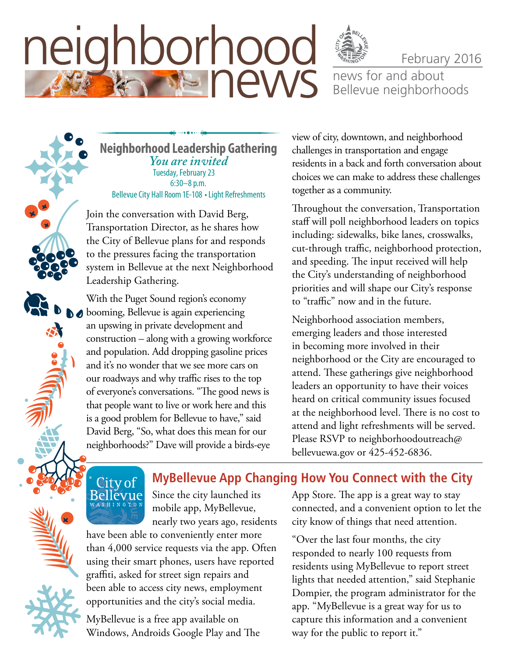# neighborhood **THE NEWS**

news for and about Bellevue neighborhoods

February 2016

**Neighborhood Leadership Gathering** *You are invited*  Tuesday, February 23 6:30–8 p.m. Bellevue City Hall Room 1E-108 • Light Refreshments

Join the conversation with David Berg, **Join the Conversation** Transportation Director, as he shares how the City of Bellevue plans for and responds to the pressures facing the transportation system in Bellevue at the next Neighborhood Leadership Gathering. m benevue at the next ineighborho

With the Puget Sound region's economy booming, Bellevue is again experiencing an upswing in private development and construction - along with a growing workforce and population. Add dropping gasoline prices *or neighborhoodoutreach@bellevuewa.gov*and it's no wonder that we see more cars on our roadways and why traffic rises to the top of everyone's conversations. "The good news is that people want to live or work here and this is a good problem for Bellevue to have," said David Berg, "So, what does this mean for our neighborhoods?" Dave will provide a birds-eye the Puget Sound regions economy

view of city, downtown, and neighborhood challenges in transportation and engage residents in a back and forth conversation about choices we can make to address these challenges together as a community.

Throughout the conversation, Transportation staff will poll neighborhood leaders on topics including: sidewalks, bike lanes, crosswalks, cut-through traffic, neighborhood protection, and speeding. The input received will help the City's understanding of neighborhood priorities and will shape our City's response to "traffic" now and in the future.

Neighborhood association members, emerging leaders and those interested in becoming more involved in their neighborhood or the City are encouraged to attend. These gatherings give neighborhood leaders an opportunity to have their voices heard on critical community issues focused at the neighborhood level. There is no cost to attend and light refreshments will be served. Please RSVP to [neighborhoodoutreach@](mailto:neighborhoodoutreach@bellevuewa.gov) [bellevuewa.gov](mailto:neighborhoodoutreach@bellevuewa.gov) or 425-452-6836.

# City of<br>Bellevue

Since the city launched its mobile app, MyBellevue, nearly two years ago, residents

have been able to conveniently enter more than 4,000 service requests via the app. Often using their smart phones, users have reported graffiti, asked for street sign repairs and been able to access city news, employment opportunities and the city's social media.

MyBellevue is a free app available on Windows, Androids Google Play and The App Store. The app is a great way to stay connected, and a convenient option to let the city know of things that need attention.

**MyBellevue App Changing How You Connect with the City** 

"Over the last four months, the city responded to nearly 100 requests from residents using MyBellevue to report street lights that needed attention," said Stephanie Dompier, the program administrator for the app. "MyBellevue is a great way for us to capture this information and a convenient way for the public to report it."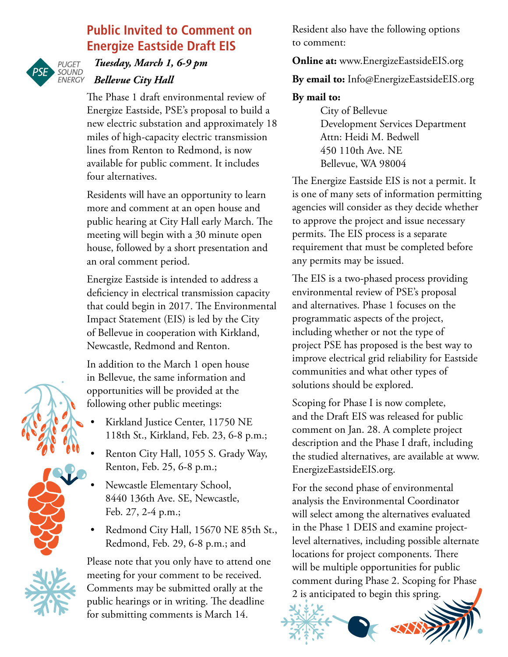### **Public Invited to Comment on Energize Eastside Draft EIS**



#### *Tuesday, March 1, 6-9 pm Bellevue City Hall*

The Phase 1 draft environmental review of Energize Eastside, PSE's proposal to build a new electric substation and approximately 18 miles of high-capacity electric transmission lines from Renton to Redmond, is now available for public comment. It includes four alternatives.

Residents will have an opportunity to learn more and comment at an open house and public hearing at City Hall early March. The meeting will begin with a 30 minute open house, followed by a short presentation and an oral comment period.

Energize Eastside is intended to address a deficiency in electrical transmission capacity that could begin in 2017. The Environmental Impact Statement (EIS) is led by the City of Bellevue in cooperation with Kirkland, Newcastle, Redmond and Renton.

In addition to the March 1 open house in Bellevue, the same information and opportunities will be provided at the following other public meetings:

- Kirkland Justice Center, 11750 NE 118th St., Kirkland, Feb. 23, 6-8 p.m.;
- Renton City Hall, 1055 S. Grady Way, Renton, Feb. 25, 6-8 p.m.;
- Newcastle Elementary School, 8440 136th Ave. SE, Newcastle, Feb. 27, 2-4 p.m.;
- Redmond City Hall, 15670 NE 85th St., Redmond, Feb. 29, 6-8 p.m.; and

Please note that you only have to attend one meeting for your comment to be received. Comments may be submitted orally at the public hearings or in writing. The deadline for submitting comments is March 14.

Resident also have the following options to comment:

**Online at:** [www.EnergizeEastsideEIS.org](http://www.EnergizeEastsideEIS.org)

**By email to:** [Info@EnergizeEastsideEIS.org](mailto:Scoping@EnergizeEastsideEIS.org)

#### **By mail to:**

City of Bellevue Development Services Department Attn: Heidi M. Bedwell 450 110th Ave. NE Bellevue, WA 98004

The Energize Eastside EIS is not a permit. It is one of many sets of information permitting agencies will consider as they decide whether to approve the project and issue necessary permits. The EIS process is a separate requirement that must be completed before any permits may be issued.

The EIS is a two-phased process providing environmental review of PSE's proposal and alternatives. Phase 1 focuses on the programmatic aspects of the project, including whether or not the type of project PSE has proposed is the best way to improve electrical grid reliability for Eastside communities and what other types of solutions should be explored.

Scoping for Phase I is now complete, and the Draft EIS was released for public comment on Jan. 28. A complete project description and the Phase I draft, including the studied alternatives, are available at [www.](http://www.EnergizeEastsideEIS.org) [EnergizeEastsideEIS.org.](http://www.EnergizeEastsideEIS.org)

For the second phase of environmental analysis the Environmental Coordinator will select among the alternatives evaluated in the Phase 1 DEIS and examine projectlevel alternatives, including possible alternate locations for project components. There will be multiple opportunities for public comment during Phase 2. Scoping for Phase 2 is anticipated to begin this spring.



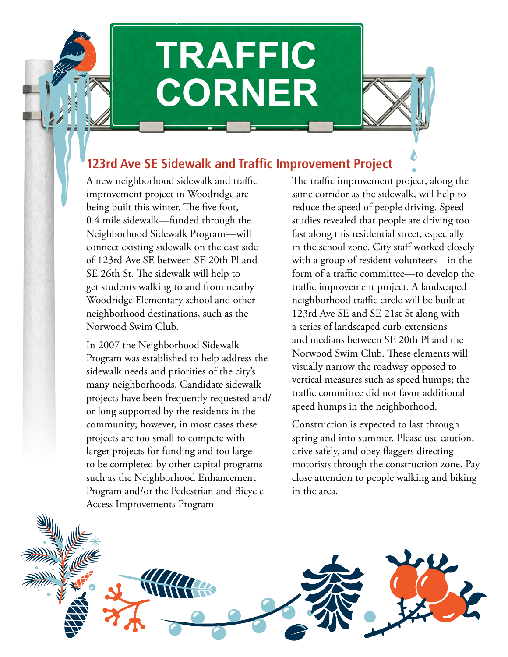# **TRAFFIC CORNER**

## **123rd Ave SE Sidewalk and Traffic Improvement Project**

A new neighborhood sidewalk and traffic improvement project in Woodridge are being built this winter. The five foot, 0.4 mile sidewalk—funded through the Neighborhood Sidewalk Program—will connect existing sidewalk on the east side of 123rd Ave SE between SE 20th Pl and SE 26th St. The sidewalk will help to get students walking to and from nearby Woodridge Elementary school and other neighborhood destinations, such as the Norwood Swim Club.

In 2007 the Neighborhood Sidewalk Program was established to help address the sidewalk needs and priorities of the city's many neighborhoods. Candidate sidewalk projects have been frequently requested and/ or long supported by the residents in the community; however, in most cases these projects are too small to compete with larger projects for funding and too large to be completed by other capital programs such as the Neighborhood Enhancement Program and/or the Pedestrian and Bicycle Access Improvements Program

The traffic improvement project, along the same corridor as the sidewalk, will help to reduce the speed of people driving. Speed studies revealed that people are driving too fast along this residential street, especially in the school zone. City staff worked closely with a group of resident volunteers—in the form of a traffic committee—to develop the traffic improvement project. A landscaped neighborhood traffic circle will be built at 123rd Ave SE and SE 21st St along with a series of landscaped curb extensions and medians between SE 20th Pl and the Norwood Swim Club. These elements will visually narrow the roadway opposed to vertical measures such as speed humps; the traffic committee did not favor additional speed humps in the neighborhood.

Construction is expected to last through spring and into summer. Please use caution, drive safely, and obey flaggers directing motorists through the construction zone. Pay close attention to people walking and biking in the area.